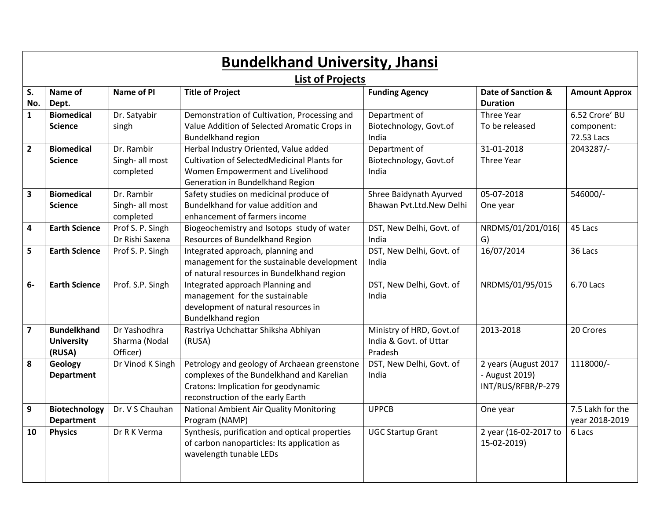| <b>Bundelkhand University, Jhansi</b> |                                                   |                                            |                                                                                                                                                                       |                                                               |                                                              |                                            |  |  |  |  |  |
|---------------------------------------|---------------------------------------------------|--------------------------------------------|-----------------------------------------------------------------------------------------------------------------------------------------------------------------------|---------------------------------------------------------------|--------------------------------------------------------------|--------------------------------------------|--|--|--|--|--|
| <b>List of Projects</b>               |                                                   |                                            |                                                                                                                                                                       |                                                               |                                                              |                                            |  |  |  |  |  |
| S.<br>No.                             | Name of<br>Dept.                                  | Name of PI                                 | <b>Title of Project</b>                                                                                                                                               | <b>Funding Agency</b>                                         | Date of Sanction &<br><b>Duration</b>                        | <b>Amount Approx</b>                       |  |  |  |  |  |
| $\mathbf{1}$                          | <b>Biomedical</b><br><b>Science</b>               | Dr. Satyabir<br>singh                      | Demonstration of Cultivation, Processing and<br>Value Addition of Selected Aromatic Crops in<br>Bundelkhand region                                                    | Department of<br>Biotechnology, Govt.of<br>India              | Three Year<br>To be released                                 | 6.52 Crore' BU<br>component:<br>72.53 Lacs |  |  |  |  |  |
| $\overline{2}$                        | <b>Biomedical</b><br><b>Science</b>               | Dr. Rambir<br>Singh- all most<br>completed | Herbal Industry Oriented, Value added<br>Cultivation of SelectedMedicinal Plants for<br>Women Empowerment and Livelihood<br>Generation in Bundelkhand Region          | Department of<br>Biotechnology, Govt.of<br>India              | 31-01-2018<br>Three Year                                     | 2043287/-                                  |  |  |  |  |  |
| $\overline{\mathbf{3}}$               | <b>Biomedical</b><br><b>Science</b>               | Dr. Rambir<br>Singh- all most<br>completed | Safety studies on medicinal produce of<br>Bundelkhand for value addition and<br>enhancement of farmers income                                                         | Shree Baidynath Ayurved<br>Bhawan Pvt.Ltd.New Delhi           | 05-07-2018<br>One year                                       | 546000/-                                   |  |  |  |  |  |
| $\overline{\mathbf{4}}$               | <b>Earth Science</b>                              | Prof S. P. Singh<br>Dr Rishi Saxena        | Biogeochemistry and Isotops study of water<br>Resources of Bundelkhand Region                                                                                         | DST, New Delhi, Govt. of<br>India                             | NRDMS/01/201/016(<br>G)                                      | 45 Lacs                                    |  |  |  |  |  |
| 5                                     | <b>Earth Science</b>                              | Prof S. P. Singh                           | Integrated approach, planning and<br>management for the sustainable development<br>of natural resources in Bundelkhand region                                         | DST, New Delhi, Govt. of<br>India                             | 16/07/2014                                                   | 36 Lacs                                    |  |  |  |  |  |
| $6-$                                  | <b>Earth Science</b>                              | Prof. S.P. Singh                           | Integrated approach Planning and<br>management for the sustainable<br>development of natural resources in<br><b>Bundelkhand region</b>                                | DST, New Delhi, Govt. of<br>India                             | NRDMS/01/95/015                                              | 6.70 Lacs                                  |  |  |  |  |  |
| $\overline{\mathbf{z}}$               | <b>Bundelkhand</b><br><b>University</b><br>(RUSA) | Dr Yashodhra<br>Sharma (Nodal<br>Officer)  | Rastriya Uchchattar Shiksha Abhiyan<br>(RUSA)                                                                                                                         | Ministry of HRD, Govt.of<br>India & Govt. of Uttar<br>Pradesh | 2013-2018                                                    | 20 Crores                                  |  |  |  |  |  |
| 8                                     | <b>Geology</b><br><b>Department</b>               | Dr Vinod K Singh                           | Petrology and geology of Archaean greenstone<br>complexes of the Bundelkhand and Karelian<br>Cratons: Implication for geodynamic<br>reconstruction of the early Earth | DST, New Delhi, Govt. of<br>India                             | 2 years (August 2017<br>- August 2019)<br>INT/RUS/RFBR/P-279 | 1118000/-                                  |  |  |  |  |  |
| 9                                     | <b>Biotechnology</b><br><b>Department</b>         | Dr. V S Chauhan                            | National Ambient Air Quality Monitoring<br>Program (NAMP)                                                                                                             | <b>UPPCB</b>                                                  | One year                                                     | 7.5 Lakh for the<br>year 2018-2019         |  |  |  |  |  |
| 10                                    | <b>Physics</b>                                    | Dr R K Verma                               | Synthesis, purification and optical properties<br>of carbon nanoparticles: Its application as<br>wavelength tunable LEDs                                              | <b>UGC Startup Grant</b>                                      | 2 year (16-02-2017 to<br>15-02-2019)                         | 6 Lacs                                     |  |  |  |  |  |